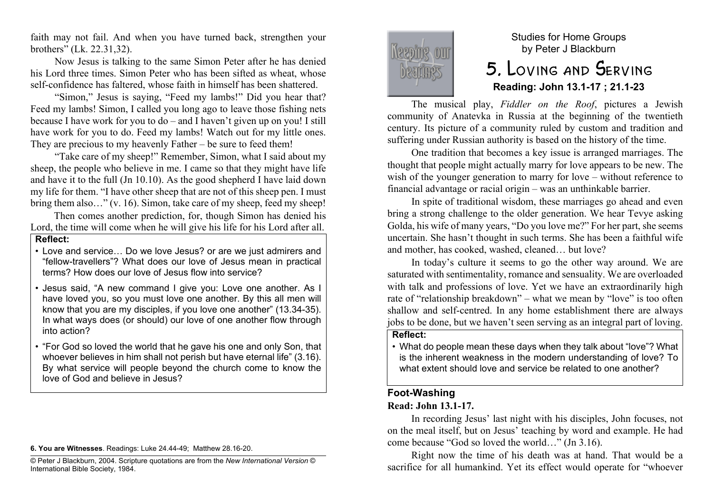faith may not fail. And when you have turned back, strengthen your brothers" (Lk. 22.31,32).

Now Jesus is talking to the same Simon Peter after he has denied his Lord three times. Simon Peter who has been sifted as wheat, whose self-confidence has faltered, whose faith in himself has been shattered.

"Simon," Jesus is saying, "Feed my lambs!" Did you hear that? Feed my lambs! Simon, I called you long ago to leave those fishing nets because I have work for you to do – and I haven't given up on you! I still have work for you to do. Feed my lambs! Watch out for my little ones. They are precious to my heavenly Father – be sure to feed them!

"Take care of my sheep!" Remember, Simon, what I said about my sheep, the people who believe in me. I came so that they might have life and have it to the full (Jn 10.10). As the good shepherd I have laid down my life for them. "I have other sheep that are not of this sheep pen. I must bring them also…" (v. 16). Simon, take care of my sheep, feed my sheep!

Then comes another prediction, for, though Simon has denied his Lord, the time will come when he will give his life for his Lord after all.

#### **Reflect:**

- Love and service… Do we love Jesus? or are we just admirers and "fellow-travellers"? What does our love of Jesus mean in practical terms? How does our love of Jesus flow into service?
- Jesus said, "A new command I give you: Love one another. As I have loved you, so you must love one another. By this all men will know that you are my disciples, if you love one another" (13.34-35). In what ways does (or should) our love of one another flow through into action?
- "For God so loved the world that he gave his one and only Son, that whoever believes in him shall not perish but have eternal life" (3.16). By what service will people beyond the church come to know the love of God and believe in Jesus?

**6. You are Witnesses**. Readings: Luke 24.44-49; Matthew 28.16-20.



# Studies for Home Groups by Peter J Blackburn 5. Loving and Serving **Reading: John 13.1-17 ; 21.1-23**

The musical play, *Fiddler on the Roof*, pictures a Jewish community of Anatevka in Russia at the beginning of the twentieth century. Its picture of a community ruled by custom and tradition and suffering under Russian authority is based on the history of the time.

One tradition that becomes a key issue is arranged marriages. The thought that people might actually marry for love appears to be new. The wish of the younger generation to marry for love – without reference to financial advantage or racial origin – was an unthinkable barrier.

In spite of traditional wisdom, these marriages go ahead and even bring a strong challenge to the older generation. We hear Tevye asking Golda, his wife of many years, "Do you love me?" For her part, she seems uncertain. She hasn't thought in such terms. She has been a faithful wife and mother, has cooked, washed, cleaned… but love?

In today's culture it seems to go the other way around. We are saturated with sentimentality, romance and sensuality. We are overloaded with talk and professions of love. Yet we have an extraordinarily high rate of "relationship breakdown" – what we mean by "love" is too often shallow and self-centred. In any home establishment there are always jobs to be done, but we haven't seen serving as an integral part of loving.

### **Reflect:**

• What do people mean these days when they talk about "love"? What is the inherent weakness in the modern understanding of love? To what extent should love and service be related to one another?

## **Foot-Washing**

### **Read: John 13.1-17.**

In recording Jesus' last night with his disciples, John focuses, not on the meal itself, but on Jesus' teaching by word and example. He had come because "God so loved the world…" (Jn 3.16).

Right now the time of his death was at hand. That would be a sacrifice for all humankind. Yet its effect would operate for "whoever

<sup>©</sup> Peter J Blackburn, 2004. Scripture quotations are from the *New International Version* © International Bible Society, 1984.